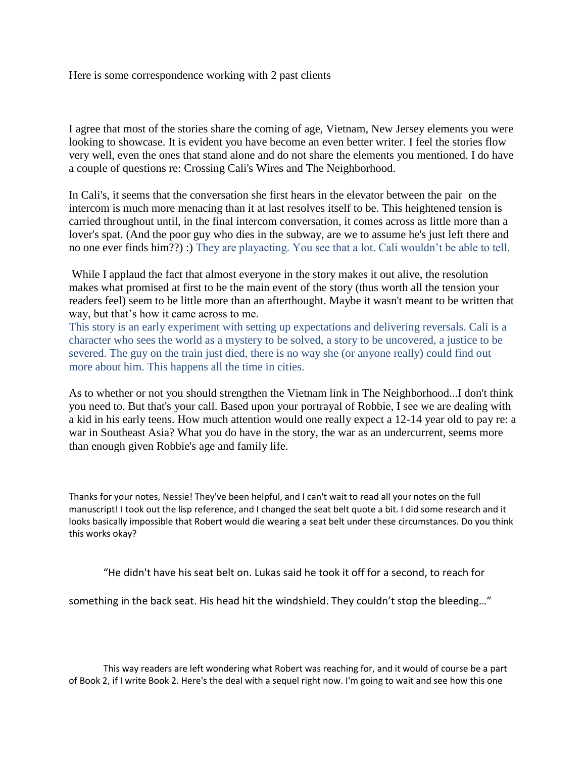Here is some correspondence working with 2 past clients

I agree that most of the stories share the coming of age, Vietnam, New Jersey elements you were looking to showcase. It is evident you have become an even better writer. I feel the stories flow very well, even the ones that stand alone and do not share the elements you mentioned. I do have a couple of questions re: Crossing Cali's Wires and The Neighborhood.

In Cali's, it seems that the conversation she first hears in the elevator between the pair on the intercom is much more menacing than it at last resolves itself to be. This heightened tension is carried throughout until, in the final intercom conversation, it comes across as little more than a lover's spat. (And the poor guy who dies in the subway, are we to assume he's just left there and no one ever finds him??) :) They are playacting. You see that a lot. Cali wouldn't be able to tell.

While I applaud the fact that almost everyone in the story makes it out alive, the resolution makes what promised at first to be the main event of the story (thus worth all the tension your readers feel) seem to be little more than an afterthought. Maybe it wasn't meant to be written that way, but that's how it came across to me.

This story is an early experiment with setting up expectations and delivering reversals. Cali is a character who sees the world as a mystery to be solved, a story to be uncovered, a justice to be severed. The guy on the train just died, there is no way she (or anyone really) could find out more about him. This happens all the time in cities.

As to whether or not you should strengthen the Vietnam link in The Neighborhood...I don't think you need to. But that's your call. Based upon your portrayal of Robbie, I see we are dealing with a kid in his early teens. How much attention would one really expect a 12-14 year old to pay re: a war in Southeast Asia? What you do have in the story, the war as an undercurrent, seems more than enough given Robbie's age and family life.

Thanks for your notes, Nessie! They've been helpful, and I can't wait to read all your notes on the full manuscript! I took out the lisp reference, and I changed the seat belt quote a bit. I did some research and it looks basically impossible that Robert would die wearing a seat belt under these circumstances. Do you think this works okay?

"He didn't have his seat belt on. Lukas said he took it off for a second, to reach for

something in the back seat. His head hit the windshield. They couldn't stop the bleeding…"

This way readers are left wondering what Robert was reaching for, and it would of course be a part of Book 2, if I write Book 2. Here's the deal with a sequel right now. I'm going to wait and see how this one